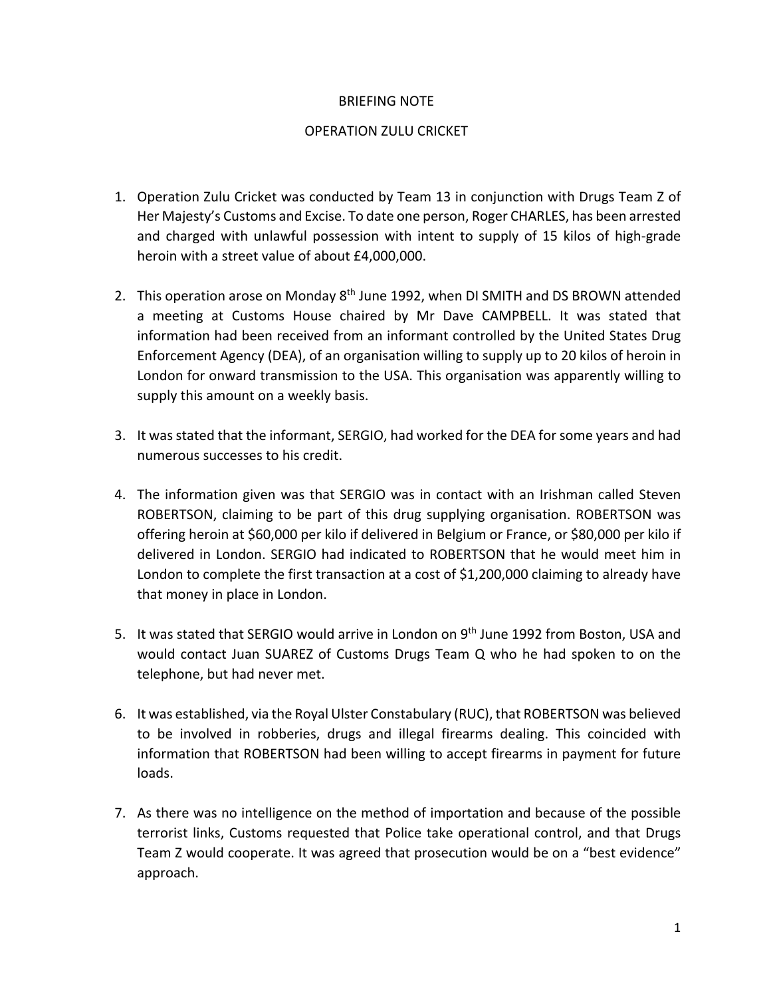## BRIEFING NOTE

## OPERATION ZULU CRICKET

- 1. Operation Zulu Cricket was conducted by Team 13 in conjunction with Drugs Team Z of Her Majesty's Customs and Excise. To date one person, Roger CHARLES, has been arrested and charged with unlawful possession with intent to supply of 15 kilos of high-grade heroin with a street value of about £4,000,000.
- 2. This operation arose on Monday 8<sup>th</sup> June 1992, when DI SMITH and DS BROWN attended a meeting at Customs House chaired by Mr Dave CAMPBELL. It was stated that information had been received from an informant controlled by the United States Drug Enforcement Agency (DEA), of an organisation willing to supply up to 20 kilos of heroin in London for onward transmission to the USA. This organisation was apparently willing to supply this amount on a weekly basis.
- 3. It was stated that the informant, SERGIO, had worked for the DEA for some years and had numerous successes to his credit.
- 4. The information given was that SERGIO was in contact with an Irishman called Steven ROBERTSON, claiming to be part of this drug supplying organisation. ROBERTSON was offering heroin at \$60,000 per kilo if delivered in Belgium or France, or \$80,000 per kilo if delivered in London. SERGIO had indicated to ROBERTSON that he would meet him in London to complete the first transaction at a cost of \$1,200,000 claiming to already have that money in place in London.
- 5. It was stated that SERGIO would arrive in London on 9<sup>th</sup> June 1992 from Boston, USA and would contact Juan SUAREZ of Customs Drugs Team Q who he had spoken to on the telephone, but had never met.
- 6. It was established, via the Royal Ulster Constabulary (RUC), that ROBERTSON was believed to be involved in robberies, drugs and illegal firearms dealing. This coincided with information that ROBERTSON had been willing to accept firearms in payment for future loads.
- 7. As there was no intelligence on the method of importation and because of the possible terrorist links, Customs requested that Police take operational control, and that Drugs Team Z would cooperate. It was agreed that prosecution would be on a "best evidence" approach.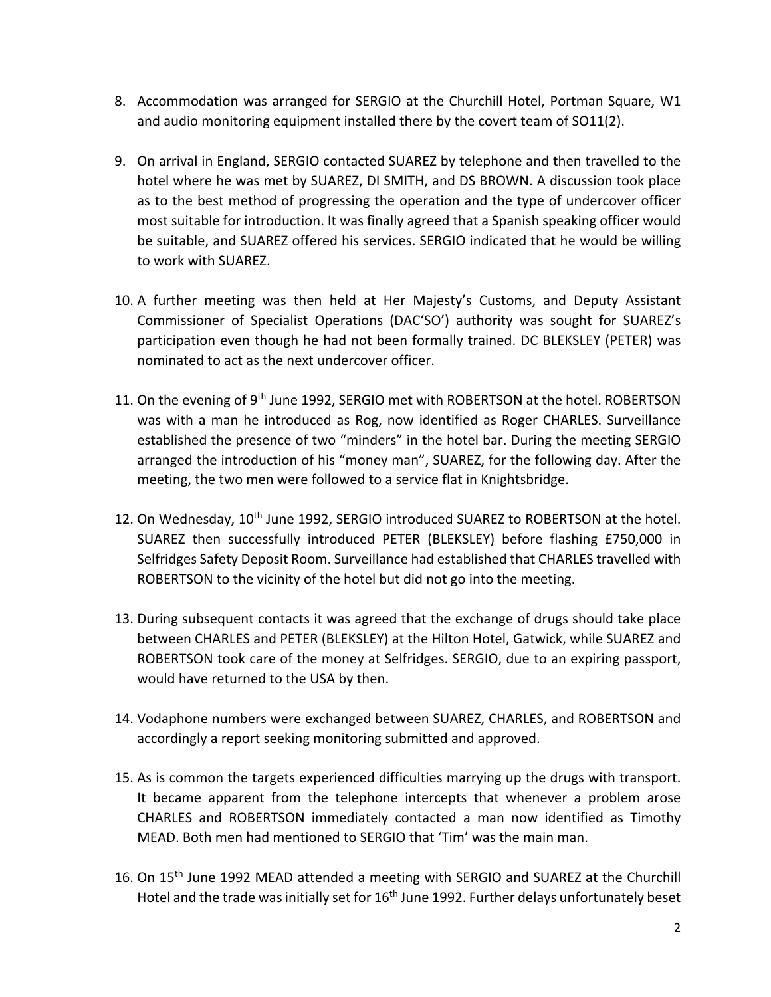- 8. Accommodation was arranged for SERGIO at the Churchill Hotel, Portman Square, W1 and audio monitoring equipment installed there by the covert team of SO11(2).
- 9. On arrival in England, SERGIO contacted SUAREZ by telephone and then travelled to the hotel where he was met by SUAREZ, DI SMITH, and DS BROWN. A discussion took place as to the best method of progressing the operation and the type of undercover officer most suitable for introduction. It was finally agreed that a Spanish speaking officer would be suitable, and SUAREZ offered his services. SERGIO indicated that he would be willing to work with SUAREZ.
- 10. A further meeting was then held at Her Majesty's Customs, and Deputy Assistant Commissioner of Specialist Operations (DAC'SO') authority was sought for SUAREZ's participation even though he had not been formally trained. DC BLEKSLEY (PETER) was nominated to act as the next undercover officer.
- 11. On the evening of 9<sup>th</sup> June 1992, SERGIO met with ROBERTSON at the hotel. ROBERTSON was with a man he introduced as Rog, now identified as Roger CHARLES. Surveillance established the presence of two "minders" in the hotel bar. During the meeting SERGIO arranged the introduction of his "money man", SUAREZ, for the following day. After the meeting, the two men were followed to a service flat in Knightsbridge.
- 12. On Wednesday, 10<sup>th</sup> June 1992, SERGIO introduced SUAREZ to ROBERTSON at the hotel. SUAREZ then successfully introduced PETER (BLEKSLEY) before flashing £750,000 in Selfridges Safety Deposit Room. Surveillance had established that CHARLES travelled with ROBERTSON to the vicinity of the hotel but did not go into the meeting.
- 13. During subsequent contacts it was agreed that the exchange of drugs should take place between CHARLES and PETER (BLEKSLEY) at the Hilton Hotel, Gatwick, while SUAREZ and ROBERTSON took care of the money at Selfridges. SERGIO, due to an expiring passport, would have returned to the USA by then.
- 14. Vodaphone numbers were exchanged between SUAREZ, CHARLES, and ROBERTSON and accordingly a report seeking monitoring submitted and approved.
- 15. As is common the targets experienced difficulties marrying up the drugs with transport. It became apparent from the telephone intercepts that whenever a problem arose CHARLES and ROBERTSON immediately contacted a man now identified as Timothy MEAD. Both men had mentioned to SERGIO that 'Tim' was the main man.
- 16. On 15<sup>th</sup> June 1992 MEAD attended a meeting with SERGIO and SUAREZ at the Churchill Hotel and the trade was initially set for 16<sup>th</sup> June 1992. Further delays unfortunately beset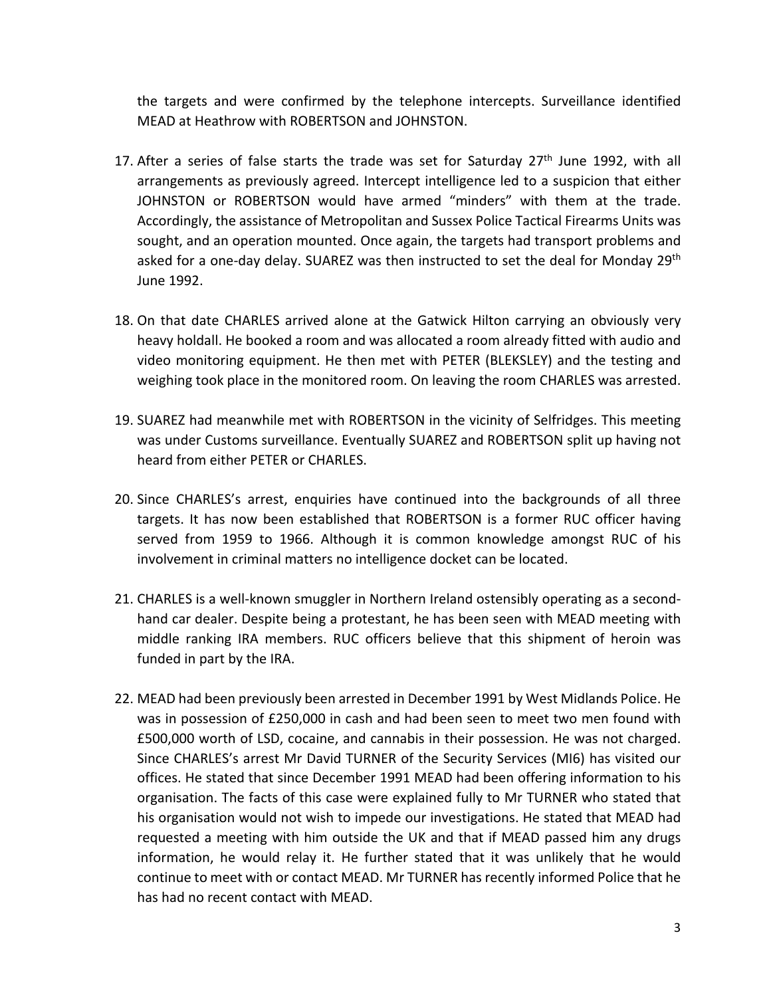the targets and were confirmed by the telephone intercepts. Surveillance identified MEAD at Heathrow with ROBERTSON and JOHNSTON.

- 17. After a series of false starts the trade was set for Saturday  $27<sup>th</sup>$  June 1992, with all arrangements as previously agreed. Intercept intelligence led to a suspicion that either JOHNSTON or ROBERTSON would have armed "minders" with them at the trade. Accordingly, the assistance of Metropolitan and Sussex Police Tactical Firearms Units was sought, and an operation mounted. Once again, the targets had transport problems and asked for a one-day delay. SUAREZ was then instructed to set the deal for Monday 29<sup>th</sup> June 1992.
- 18. On that date CHARLES arrived alone at the Gatwick Hilton carrying an obviously very heavy holdall. He booked a room and was allocated a room already fitted with audio and video monitoring equipment. He then met with PETER (BLEKSLEY) and the testing and weighing took place in the monitored room. On leaving the room CHARLES was arrested.
- 19. SUAREZ had meanwhile met with ROBERTSON in the vicinity of Selfridges. This meeting was under Customs surveillance. Eventually SUAREZ and ROBERTSON split up having not heard from either PETER or CHARLES.
- 20. Since CHARLES's arrest, enquiries have continued into the backgrounds of all three targets. It has now been established that ROBERTSON is a former RUC officer having served from 1959 to 1966. Although it is common knowledge amongst RUC of his involvement in criminal matters no intelligence docket can be located.
- 21. CHARLES is a well-known smuggler in Northern Ireland ostensibly operating as a secondhand car dealer. Despite being a protestant, he has been seen with MEAD meeting with middle ranking IRA members. RUC officers believe that this shipment of heroin was funded in part by the IRA.
- 22. MEAD had been previously been arrested in December 1991 by West Midlands Police. He was in possession of £250,000 in cash and had been seen to meet two men found with £500,000 worth of LSD, cocaine, and cannabis in their possession. He was not charged. Since CHARLES's arrest Mr David TURNER of the Security Services (MI6) has visited our offices. He stated that since December 1991 MEAD had been offering information to his organisation. The facts of this case were explained fully to Mr TURNER who stated that his organisation would not wish to impede our investigations. He stated that MEAD had requested a meeting with him outside the UK and that if MEAD passed him any drugs information, he would relay it. He further stated that it was unlikely that he would continue to meet with or contact MEAD. Mr TURNER has recently informed Police that he has had no recent contact with MEAD.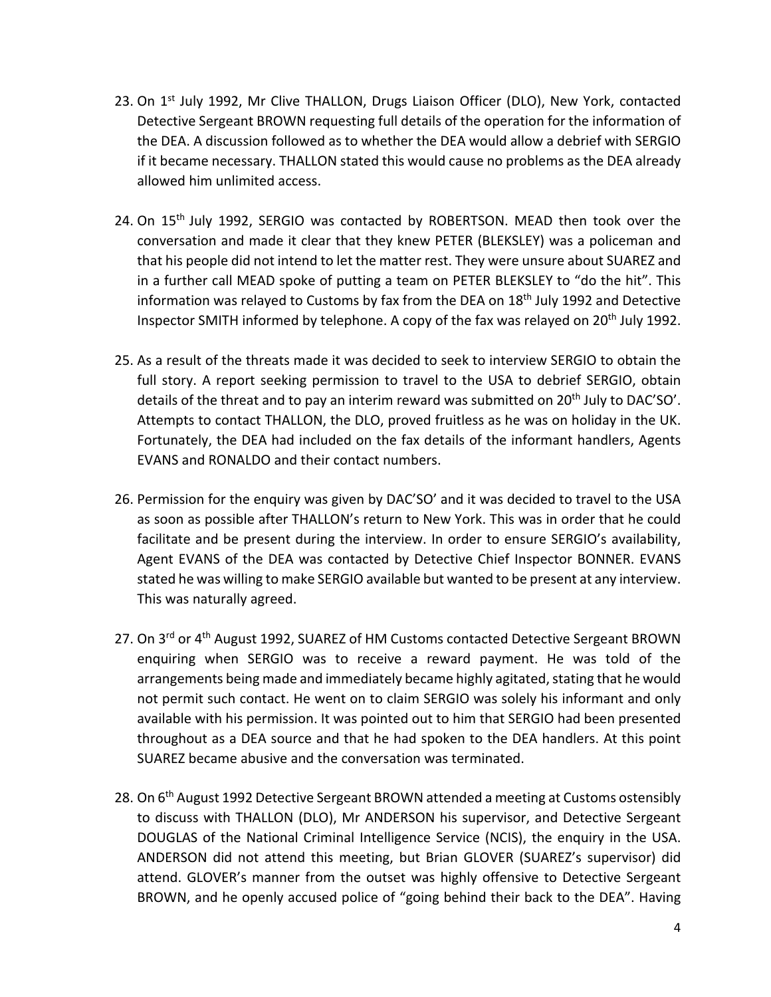- 23. On  $1<sup>st</sup>$  July 1992, Mr Clive THALLON, Drugs Liaison Officer (DLO), New York, contacted Detective Sergeant BROWN requesting full details of the operation for the information of the DEA. A discussion followed as to whether the DEA would allow a debrief with SERGIO if it became necessary. THALLON stated this would cause no problems as the DEA already allowed him unlimited access.
- 24. On 15<sup>th</sup> July 1992, SERGIO was contacted by ROBERTSON. MEAD then took over the conversation and made it clear that they knew PETER (BLEKSLEY) was a policeman and that his people did not intend to let the matter rest. They were unsure about SUAREZ and in a further call MEAD spoke of putting a team on PETER BLEKSLEY to "do the hit". This information was relayed to Customs by fax from the DEA on 18<sup>th</sup> July 1992 and Detective Inspector SMITH informed by telephone. A copy of the fax was relayed on 20<sup>th</sup> July 1992.
- 25. As a result of the threats made it was decided to seek to interview SERGIO to obtain the full story. A report seeking permission to travel to the USA to debrief SERGIO, obtain details of the threat and to pay an interim reward was submitted on 20<sup>th</sup> July to DAC'SO'. Attempts to contact THALLON, the DLO, proved fruitless as he was on holiday in the UK. Fortunately, the DEA had included on the fax details of the informant handlers, Agents EVANS and RONALDO and their contact numbers.
- 26. Permission for the enquiry was given by DAC'SO' and it was decided to travel to the USA as soon as possible after THALLON's return to New York. This was in order that he could facilitate and be present during the interview. In order to ensure SERGIO's availability, Agent EVANS of the DEA was contacted by Detective Chief Inspector BONNER. EVANS stated he was willing to make SERGIO available but wanted to be present at any interview. This was naturally agreed.
- 27. On 3<sup>rd</sup> or 4<sup>th</sup> August 1992, SUAREZ of HM Customs contacted Detective Sergeant BROWN enquiring when SERGIO was to receive a reward payment. He was told of the arrangements being made and immediately became highly agitated, stating that he would not permit such contact. He went on to claim SERGIO was solely his informant and only available with his permission. It was pointed out to him that SERGIO had been presented throughout as a DEA source and that he had spoken to the DEA handlers. At this point SUAREZ became abusive and the conversation was terminated.
- 28. On 6<sup>th</sup> August 1992 Detective Sergeant BROWN attended a meeting at Customs ostensibly to discuss with THALLON (DLO), Mr ANDERSON his supervisor, and Detective Sergeant DOUGLAS of the National Criminal Intelligence Service (NCIS), the enquiry in the USA. ANDERSON did not attend this meeting, but Brian GLOVER (SUAREZ's supervisor) did attend. GLOVER's manner from the outset was highly offensive to Detective Sergeant BROWN, and he openly accused police of "going behind their back to the DEA". Having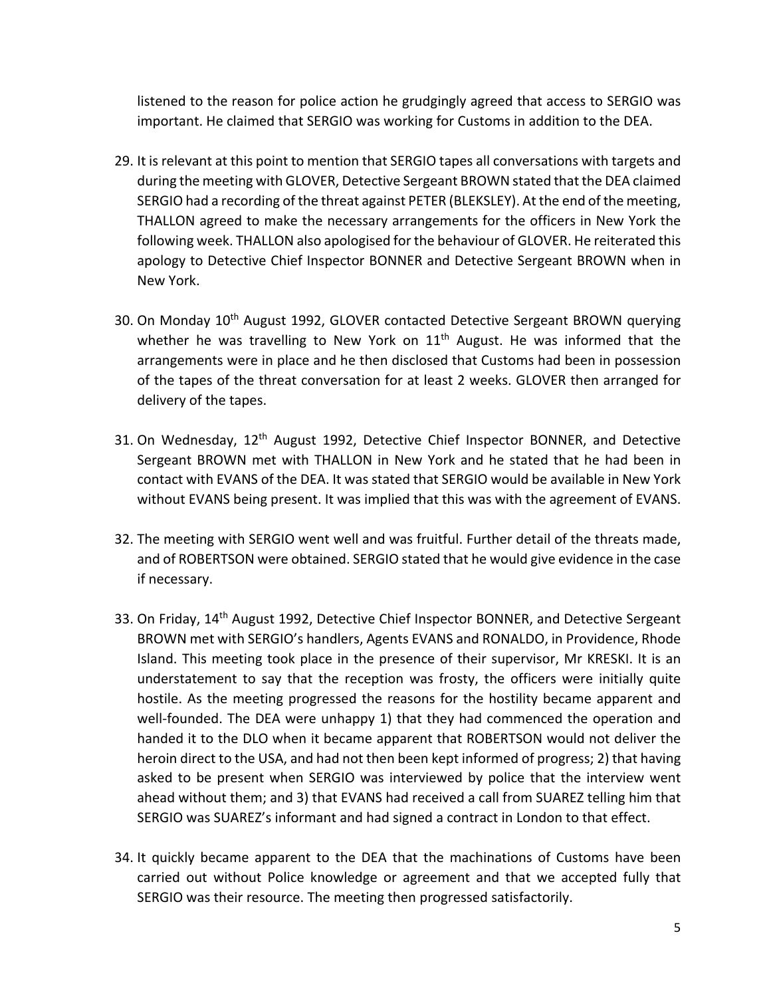listened to the reason for police action he grudgingly agreed that access to SERGIO was important. He claimed that SERGIO was working for Customs in addition to the DEA.

- 29. It is relevant at this point to mention that SERGIO tapes all conversations with targets and during the meeting with GLOVER, Detective Sergeant BROWN stated that the DEA claimed SERGIO had a recording of the threat against PETER (BLEKSLEY). At the end of the meeting, THALLON agreed to make the necessary arrangements for the officers in New York the following week. THALLON also apologised for the behaviour of GLOVER. He reiterated this apology to Detective Chief Inspector BONNER and Detective Sergeant BROWN when in New York.
- 30. On Monday 10<sup>th</sup> August 1992, GLOVER contacted Detective Sergeant BROWN querying whether he was travelling to New York on  $11<sup>th</sup>$  August. He was informed that the arrangements were in place and he then disclosed that Customs had been in possession of the tapes of the threat conversation for at least 2 weeks. GLOVER then arranged for delivery of the tapes.
- 31. On Wednesday, 12<sup>th</sup> August 1992, Detective Chief Inspector BONNER, and Detective Sergeant BROWN met with THALLON in New York and he stated that he had been in contact with EVANS of the DEA. It was stated that SERGIO would be available in New York without EVANS being present. It was implied that this was with the agreement of EVANS.
- 32. The meeting with SERGIO went well and was fruitful. Further detail of the threats made, and of ROBERTSON were obtained. SERGIO stated that he would give evidence in the case if necessary.
- 33. On Friday, 14<sup>th</sup> August 1992, Detective Chief Inspector BONNER, and Detective Sergeant BROWN met with SERGIO's handlers, Agents EVANS and RONALDO, in Providence, Rhode Island. This meeting took place in the presence of their supervisor, Mr KRESKI. It is an understatement to say that the reception was frosty, the officers were initially quite hostile. As the meeting progressed the reasons for the hostility became apparent and well-founded. The DEA were unhappy 1) that they had commenced the operation and handed it to the DLO when it became apparent that ROBERTSON would not deliver the heroin direct to the USA, and had not then been kept informed of progress; 2) that having asked to be present when SERGIO was interviewed by police that the interview went ahead without them; and 3) that EVANS had received a call from SUAREZ telling him that SERGIO was SUAREZ's informant and had signed a contract in London to that effect.
- 34. It quickly became apparent to the DEA that the machinations of Customs have been carried out without Police knowledge or agreement and that we accepted fully that SERGIO was their resource. The meeting then progressed satisfactorily.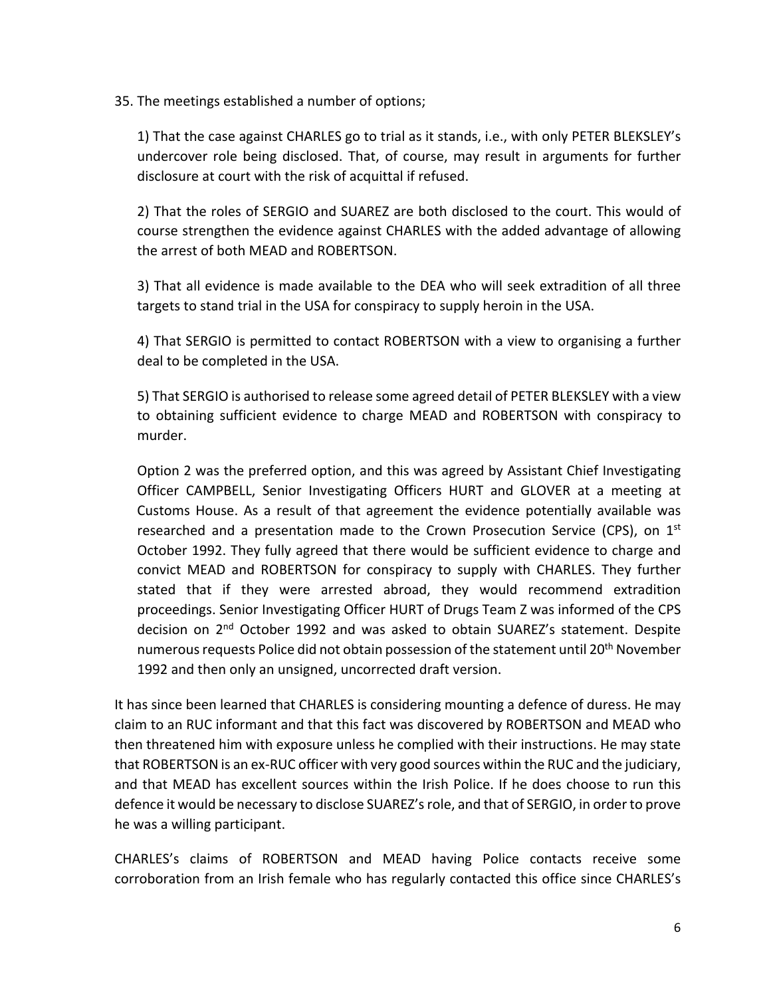35. The meetings established a number of options;

1) That the case against CHARLES go to trial as it stands, i.e., with only PETER BLEKSLEY's undercover role being disclosed. That, of course, may result in arguments for further disclosure at court with the risk of acquittal if refused.

2) That the roles of SERGIO and SUAREZ are both disclosed to the court. This would of course strengthen the evidence against CHARLES with the added advantage of allowing the arrest of both MEAD and ROBERTSON.

3) That all evidence is made available to the DEA who will seek extradition of all three targets to stand trial in the USA for conspiracy to supply heroin in the USA.

4) That SERGIO is permitted to contact ROBERTSON with a view to organising a further deal to be completed in the USA.

5) That SERGIO is authorised to release some agreed detail of PETER BLEKSLEY with a view to obtaining sufficient evidence to charge MEAD and ROBERTSON with conspiracy to murder.

Option 2 was the preferred option, and this was agreed by Assistant Chief Investigating Officer CAMPBELL, Senior Investigating Officers HURT and GLOVER at a meeting at Customs House. As a result of that agreement the evidence potentially available was researched and a presentation made to the Crown Prosecution Service (CPS), on  $1<sup>st</sup>$ October 1992. They fully agreed that there would be sufficient evidence to charge and convict MEAD and ROBERTSON for conspiracy to supply with CHARLES. They further stated that if they were arrested abroad, they would recommend extradition proceedings. Senior Investigating Officer HURT of Drugs Team Z was informed of the CPS decision on 2<sup>nd</sup> October 1992 and was asked to obtain SUAREZ's statement. Despite numerous requests Police did not obtain possession of the statement until 20<sup>th</sup> November 1992 and then only an unsigned, uncorrected draft version.

It has since been learned that CHARLES is considering mounting a defence of duress. He may claim to an RUC informant and that this fact was discovered by ROBERTSON and MEAD who then threatened him with exposure unless he complied with their instructions. He may state that ROBERTSON is an ex-RUC officer with very good sources within the RUC and the judiciary, and that MEAD has excellent sources within the Irish Police. If he does choose to run this defence it would be necessary to disclose SUAREZ's role, and that of SERGIO, in order to prove he was a willing participant.

CHARLES's claims of ROBERTSON and MEAD having Police contacts receive some corroboration from an Irish female who has regularly contacted this office since CHARLES's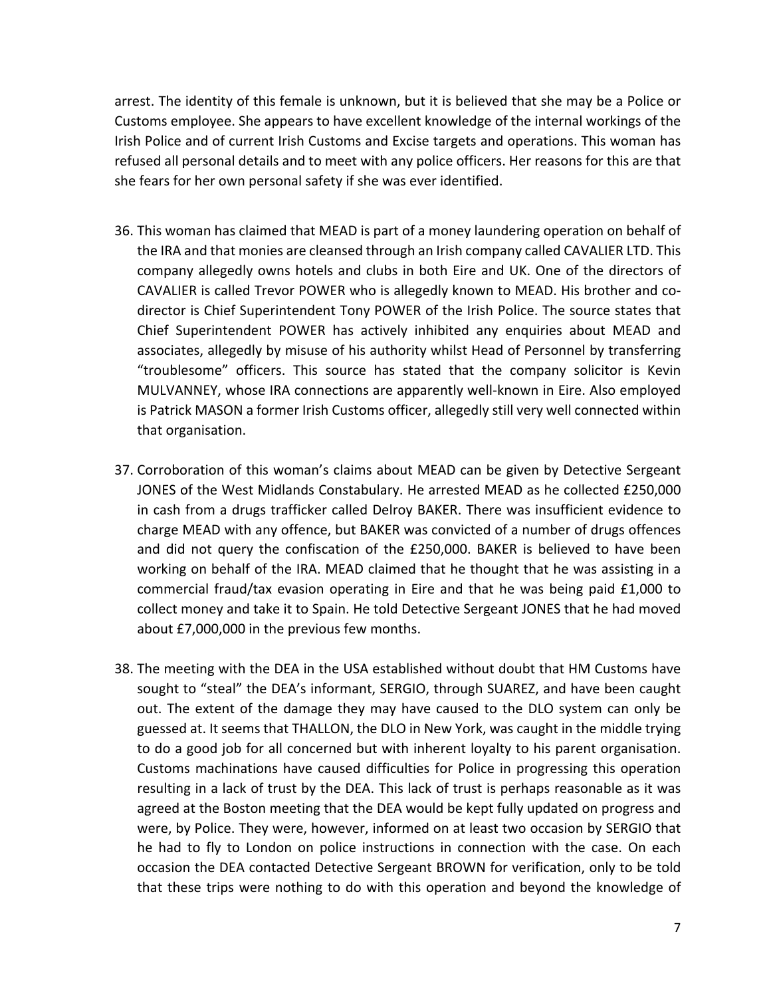arrest. The identity of this female is unknown, but it is believed that she may be a Police or Customs employee. She appears to have excellent knowledge of the internal workings of the Irish Police and of current Irish Customs and Excise targets and operations. This woman has refused all personal details and to meet with any police officers. Her reasons for this are that she fears for her own personal safety if she was ever identified.

- 36. This woman has claimed that MEAD is part of a money laundering operation on behalf of the IRA and that monies are cleansed through an Irish company called CAVALIER LTD. This company allegedly owns hotels and clubs in both Eire and UK. One of the directors of CAVALIER is called Trevor POWER who is allegedly known to MEAD. His brother and codirector is Chief Superintendent Tony POWER of the Irish Police. The source states that Chief Superintendent POWER has actively inhibited any enquiries about MEAD and associates, allegedly by misuse of his authority whilst Head of Personnel by transferring "troublesome" officers. This source has stated that the company solicitor is Kevin MULVANNEY, whose IRA connections are apparently well-known in Eire. Also employed is Patrick MASON a former Irish Customs officer, allegedly still very well connected within that organisation.
- 37. Corroboration of this woman's claims about MEAD can be given by Detective Sergeant JONES of the West Midlands Constabulary. He arrested MEAD as he collected £250,000 in cash from a drugs trafficker called Delroy BAKER. There was insufficient evidence to charge MEAD with any offence, but BAKER was convicted of a number of drugs offences and did not query the confiscation of the £250,000. BAKER is believed to have been working on behalf of the IRA. MEAD claimed that he thought that he was assisting in a commercial fraud/tax evasion operating in Eire and that he was being paid £1,000 to collect money and take it to Spain. He told Detective Sergeant JONES that he had moved about £7,000,000 in the previous few months.
- 38. The meeting with the DEA in the USA established without doubt that HM Customs have sought to "steal" the DEA's informant, SERGIO, through SUAREZ, and have been caught out. The extent of the damage they may have caused to the DLO system can only be guessed at. It seems that THALLON, the DLO in New York, was caught in the middle trying to do a good job for all concerned but with inherent loyalty to his parent organisation. Customs machinations have caused difficulties for Police in progressing this operation resulting in a lack of trust by the DEA. This lack of trust is perhaps reasonable as it was agreed at the Boston meeting that the DEA would be kept fully updated on progress and were, by Police. They were, however, informed on at least two occasion by SERGIO that he had to fly to London on police instructions in connection with the case. On each occasion the DEA contacted Detective Sergeant BROWN for verification, only to be told that these trips were nothing to do with this operation and beyond the knowledge of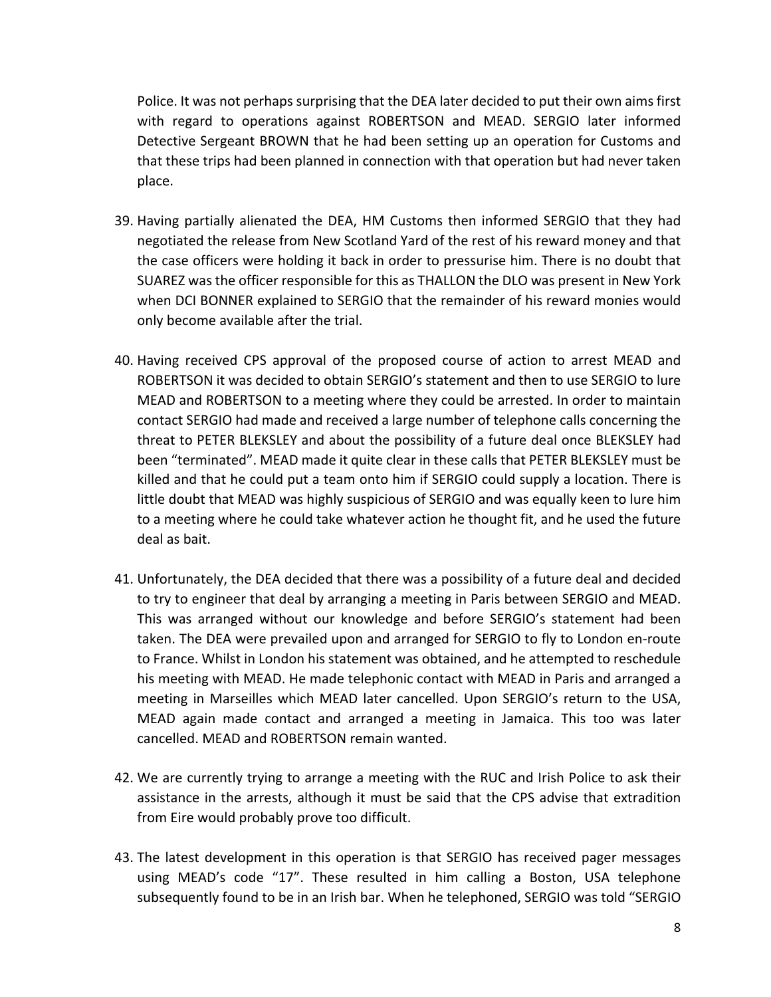Police. It was not perhaps surprising that the DEA later decided to put their own aims first with regard to operations against ROBERTSON and MEAD. SERGIO later informed Detective Sergeant BROWN that he had been setting up an operation for Customs and that these trips had been planned in connection with that operation but had never taken place.

- 39. Having partially alienated the DEA, HM Customs then informed SERGIO that they had negotiated the release from New Scotland Yard of the rest of his reward money and that the case officers were holding it back in order to pressurise him. There is no doubt that SUAREZ was the officer responsible for this as THALLON the DLO was present in New York when DCI BONNER explained to SERGIO that the remainder of his reward monies would only become available after the trial.
- 40. Having received CPS approval of the proposed course of action to arrest MEAD and ROBERTSON it was decided to obtain SERGIO's statement and then to use SERGIO to lure MEAD and ROBERTSON to a meeting where they could be arrested. In order to maintain contact SERGIO had made and received a large number of telephone calls concerning the threat to PETER BLEKSLEY and about the possibility of a future deal once BLEKSLEY had been "terminated". MEAD made it quite clear in these calls that PETER BLEKSLEY must be killed and that he could put a team onto him if SERGIO could supply a location. There is little doubt that MEAD was highly suspicious of SERGIO and was equally keen to lure him to a meeting where he could take whatever action he thought fit, and he used the future deal as bait.
- 41. Unfortunately, the DEA decided that there was a possibility of a future deal and decided to try to engineer that deal by arranging a meeting in Paris between SERGIO and MEAD. This was arranged without our knowledge and before SERGIO's statement had been taken. The DEA were prevailed upon and arranged for SERGIO to fly to London en-route to France. Whilst in London his statement was obtained, and he attempted to reschedule his meeting with MEAD. He made telephonic contact with MEAD in Paris and arranged a meeting in Marseilles which MEAD later cancelled. Upon SERGIO's return to the USA, MEAD again made contact and arranged a meeting in Jamaica. This too was later cancelled. MEAD and ROBERTSON remain wanted.
- 42. We are currently trying to arrange a meeting with the RUC and Irish Police to ask their assistance in the arrests, although it must be said that the CPS advise that extradition from Eire would probably prove too difficult.
- 43. The latest development in this operation is that SERGIO has received pager messages using MEAD's code "17". These resulted in him calling a Boston, USA telephone subsequently found to be in an Irish bar. When he telephoned, SERGIO was told "SERGIO